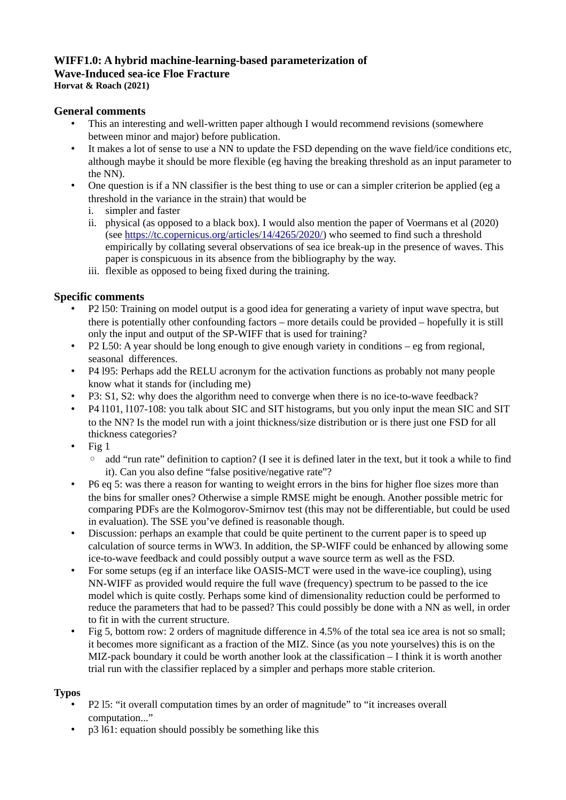## **WIFF1.0: A hybrid machine-learning-based parameterization of Wave-Induced sea-ice Floe Fracture**

**Horvat & Roach (2021)**

## **General comments**

- This an interesting and well-written paper although I would recommend revisions (somewhere between minor and major) before publication.
- It makes a lot of sense to use a NN to update the FSD depending on the wave field/ice conditions etc, although maybe it should be more flexible (eg having the breaking threshold as an input parameter to the NN).
- One question is if a NN classifier is the best thing to use or can a simpler criterion be applied (eg a threshold in the variance in the strain) that would be
	- i. simpler and faster
	- ii. physical (as opposed to a black box). I would also mention the paper of Voermans et al (2020) (see [https://tc.copernicus.org/articles/14/4265/2020/\)](https://tc.copernicus.org/articles/14/4265/2020/) who seemed to find such a threshold empirically by collating several observations of sea ice break-up in the presence of waves. This paper is conspicuous in its absence from the bibliography by the way.
	- iii. flexible as opposed to being fixed during the training.

## **Specific comments**

- P2 l50: Training on model output is a good idea for generating a variety of input wave spectra, but there is potentially other confounding factors – more details could be provided – hopefully it is still only the input and output of the SP-WIFF that is used for training?
- P2 L50: A year should be long enough to give enough variety in conditions eg from regional, seasonal differences.
- P4 l95: Perhaps add the RELU acronym for the activation functions as probably not many people know what it stands for (including me)
- P3: S1, S2: why does the algorithm need to converge when there is no ice-to-wave feedback?
- P4 l101, l107-108: you talk about SIC and SIT histograms, but you only input the mean SIC and SIT to the NN? Is the model run with a joint thickness/size distribution or is there just one FSD for all thickness categories?
- Fig 1
	- add "run rate" definition to caption? (I see it is defined later in the text, but it took a while to find it). Can you also define "false positive/negative rate"?
- P6 eq 5: was there a reason for wanting to weight errors in the bins for higher floe sizes more than the bins for smaller ones? Otherwise a simple RMSE might be enough. Another possible metric for comparing PDFs are the Kolmogorov-Smirnov test (this may not be differentiable, but could be used in evaluation). The SSE you've defined is reasonable though.
- Discussion: perhaps an example that could be quite pertinent to the current paper is to speed up calculation of source terms in WW3. In addition, the SP-WIFF could be enhanced by allowing some ice-to-wave feedback and could possibly output a wave source term as well as the FSD.
- For some setups (eg if an interface like OASIS-MCT were used in the wave-ice coupling), using NN-WIFF as provided would require the full wave (frequency) spectrum to be passed to the ice model which is quite costly. Perhaps some kind of dimensionality reduction could be performed to reduce the parameters that had to be passed? This could possibly be done with a NN as well, in order to fit in with the current structure.
- Fig 5, bottom row: 2 orders of magnitude difference in 4.5% of the total sea ice area is not so small; it becomes more significant as a fraction of the MIZ. Since (as you note yourselves) this is on the MIZ-pack boundary it could be worth another look at the classification  $-1$  think it is worth another trial run with the classifier replaced by a simpler and perhaps more stable criterion.

## **Typos**

- P2 l5: "it overall computation times by an order of magnitude" to "it increases overall computation..."
- p3 l61: equation should possibly be something like this